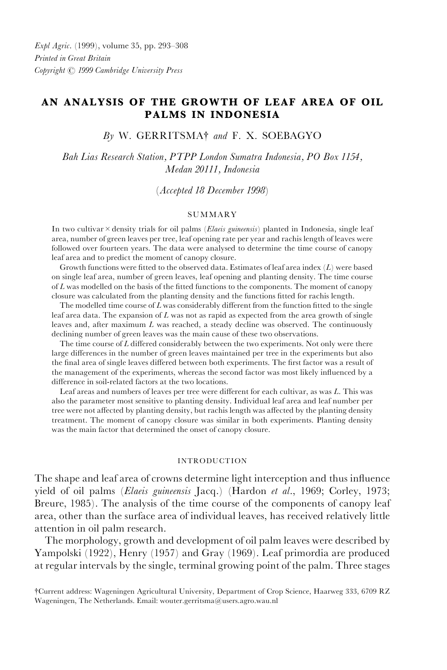# AN ANALYSIS OF THE GROWTH OF LEAF AREA OF OIL PALMS IN INDONESIA

## $B<sub>Y</sub>$  W. GERRITSMA<sup>†</sup> and F. X. SOEBAGYO

Bah Lias Research Station, PTPP London Sumatra Indonesia, PO Box 1154, Medan 20111, Indonesia

(Accepted 18 December 1998)

## SUMMARY

In two cultivar  $\times$  density trials for oil palms (Elaeis guineensis) planted in Indonesia, single leaf area, number of green leaves per tree, leaf opening rate per year and rachis length of leaves were followed over fourteen years. The data were analysed to determine the time course of canopy leaf area and to predict the moment of canopy closure.

Growth functions were fitted to the observed data. Estimates of leaf area index  $(L)$  were based on single leaf area, number of green leaves, leaf opening and planting density. The time course of  $L$  was modelled on the basis of the fitted functions to the components. The moment of canopy closure was calculated from the planting density and the functions fitted for rachis length.

The modelled time course of  $L$  was considerably different from the function fitted to the single leaf area data. The expansion of  $L$  was not as rapid as expected from the area growth of single leaves and, after maximum L was reached, a steady decline was observed. The continuously declining number of green leaves was the main cause of these two observations.

The time course of  $L$  differed considerably between the two experiments. Not only were there large differences in the number of green leaves maintained per tree in the experiments but also the final area of single leaves differed between both experiments. The first factor was a result of the management of the experiments, whereas the second factor was most likely influenced by a difference in soil-related factors at the two locations.

Leaf areas and numbers of leaves per tree were different for each cultivar, as was  $L$ . This was also the parameter most sensitive to planting density. Individual leaf area and leaf number per tree were not affected by planting density, but rachis length was affected by the planting density treatment. The moment of canopy closure was similar in both experiments. Planting density was the main factor that determined the onset of canopy closure.

#### INTRODUCTION

The shape and leaf area of crowns determine light interception and thus influence yield of oil palms (Elaeis guineensis Jacq.) (Hardon et al., 1969; Corley, 1973; Breure, 1985). The analysis of the time course of the components of canopy leaf area, other than the surface area of individual leaves, has received relatively little attention in oil palm research.

The morphology, growth and development of oil palm leaves were described by Yampolski (1922), Henry (1957) and Gray (1969). Leaf primordia are produced at regular intervals by the single, terminal growing point of the palm. Three stages

{Current address: Wageningen Agricultural University, Department of Crop Science, Haarweg 333, 6709 RZ Wageningen, The Netherlands. Email: wouter.gerritsma@users.agro.wau.nl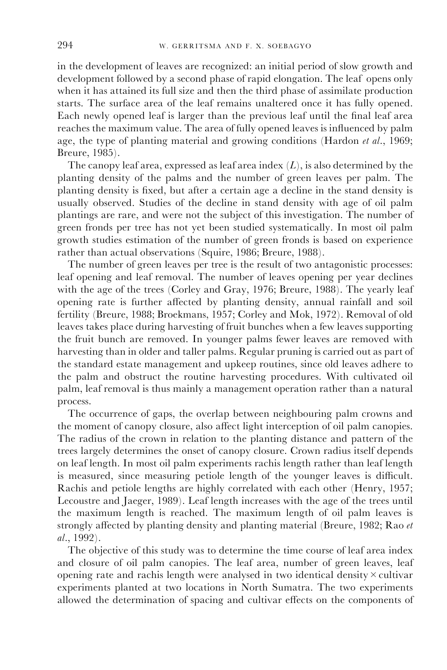in the development of leaves are recognized: an initial period of slow growth and development followed by a second phase of rapid elongation. The leaf opens only when it has attained its full size and then the third phase of assimilate production starts. The surface area of the leaf remains unaltered once it has fully opened. Each newly opened leaf is larger than the previous leaf until the final leaf area reaches the maximum value. The area of fully opened leaves is influenced by palm age, the type of planting material and growing conditions (Hardon et al., 1969; Breure, 1985).

The canopy leaf area, expressed as leaf area index  $(L)$ , is also determined by the planting density of the palms and the number of green leaves per palm. The planting density is fixed, but after a certain age a decline in the stand density is usually observed. Studies of the decline in stand density with age of oil palm plantings are rare, and were not the subject of this investigation. The number of green fronds per tree has not yet been studied systematically. In most oil palm growth studies estimation of the number of green fronds is based on experience rather than actual observations (Squire, 1986; Breure, 1988).

The number of green leaves per tree is the result of two antagonistic processes: leaf opening and leaf removal. The number of leaves opening per year declines with the age of the trees (Corley and Gray, 1976; Breure, 1988). The yearly leaf opening rate is further affected by planting density, annual rainfall and soil fertility (Breure, 1988; Broekmans, 1957; Corley and Mok, 1972). Removal of old leaves takes place during harvesting of fruit bunches when a few leaves supporting the fruit bunch are removed. In younger palms fewer leaves are removed with harvesting than in older and taller palms. Regular pruning is carried out as part of the standard estate management and upkeep routines, since old leaves adhere to the palm and obstruct the routine harvesting procedures. With cultivated oil palm, leaf removal is thus mainly a management operation rather than a natural process.

The occurrence of gaps, the overlap between neighbouring palm crowns and the moment of canopy closure, also affect light interception of oil palm canopies. The radius of the crown in relation to the planting distance and pattern of the trees largely determines the onset of canopy closure. Crown radius itself depends on leaf length. In most oil palm experiments rachis length rather than leaf length is measured, since measuring petiole length of the younger leaves is difficult. Rachis and petiole lengths are highly correlated with each other (Henry, 1957; Lecoustre and Jaeger, 1989). Leaf length increases with the age of the trees until the maximum length is reached. The maximum length of oil palm leaves is strongly affected by planting density and planting material (Breure, 1982; Rao  $et$ al., 1992).

The objective of this study was to determine the time course of leaf area index and closure of oil palm canopies. The leaf area, number of green leaves, leaf opening rate and rachis length were analysed in two identical density  $\times$  cultivar experiments planted at two locations in North Sumatra. The two experiments allowed the determination of spacing and cultivar effects on the components of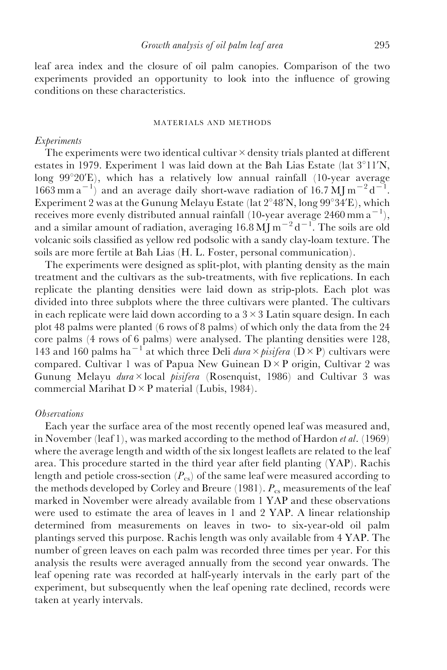leaf area index and the closure of oil palm canopies. Comparison of the two experiments provided an opportunity to look into the influence of growing conditions on these characteristics.

#### MATERIALS AND METHODS

## Experiments

The experiments were two identical cultivar  $\times$  density trials planted at different estates in 1979. Experiment 1 was laid down at the Bah Lias Estate (lat  $3^{\circ}11'N$ , long  $99^{\circ}20'E$ ), which has a relatively low annual rainfall (10-year average  $1663$  mm a<sup>-1</sup>) and an average daily short-wave radiation of 16.7 MJ m<sup>-2</sup> d<sup>-1</sup>. Experiment 2 was at the Gunung Melayu Estate (lat  $2^{\circ}48'N$ , long  $99^{\circ}34'E$ ), which receives more evenly distributed annual rainfall (10-year average 2460 mm  $a^{-1}$ ), and a similar amount of radiation, averaging  $16.8 \text{ MJ m}^{-2} \text{d}^{-1}$ . The soils are old volcanic soils classified as yellow red podsolic with a sandy clay-loam texture. The soils are more fertile at Bah Lias (H. L. Foster, personal communication).

The experiments were designed as split-plot, with planting density as the main treatment and the cultivars as the sub-treatments, with five replications. In each replicate the planting densities were laid down as strip-plots. Each plot was divided into three subplots where the three cultivars were planted. The cultivars in each replicate were laid down according to a  $3 \times 3$  Latin square design. In each plot 48 palms were planted (6 rows of 8 palms) of which only the data from the 24 core palms (4 rows of 6 palms) were analysed. The planting densities were 128, 143 and 160 palms ha<sup>-1</sup> at which three Deli dura  $\times$  pisifera ( $\overrightarrow{D} \times$  P) cultivars were compared. Cultivar 1 was of Papua New Guinean  $D \times P$  origin, Cultivar 2 was Gunung Melayu *dura* × local *pisifera* (Rosenquist, 1986) and Cultivar 3 was commercial Marihat  $D \times P$  material (Lubis, 1984).

## **O**bservations

Each year the surface area of the most recently opened leaf was measured and, in November (leaf 1), was marked according to the method of Hardon *et al.* (1969) where the average length and width of the six longest leaflets are related to the leaf area. This procedure started in the third year after field planting  $(YAP)$ . Rachis length and petiole cross-section  $(P_{cs})$  of the same leaf were measured according to the methods developed by Corley and Breure  $(1981)$ .  $P_{cs}$  measurements of the leaf marked in November were already available from 1 YAP and these observations were used to estimate the area of leaves in 1 and 2 YAP. A linear relationship determined from measurements on leaves in two- to six-year-old oil palm plantings served this purpose. Rachis length was only available from 4 YAP. The number of green leaves on each palm was recorded three times per year. For this analysis the results were averaged annually from the second year onwards. The leaf opening rate was recorded at half-yearly intervals in the early part of the experiment, but subsequently when the leaf opening rate declined, records were taken at yearly intervals.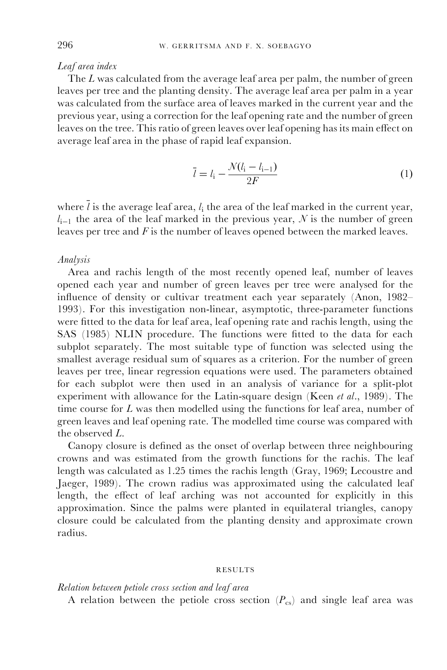## Leaf area index

The L was calculated from the average leaf area per palm, the number of green leaves per tree and the planting density. The average leaf area per palm in a year was calculated from the surface area of leaves marked in the current year and the previous year, using a correction for the leaf opening rate and the number of green leaves on the tree. This ratio of green leaves over leaf opening has its main effect on average leaf area in the phase of rapid leaf expansion.

$$
\bar{l} = l_{i} - \frac{\mathcal{N}(l_{i} - l_{i-1})}{2F} \tag{1}
$$

where  $l$  is the average leaf area,  $l_i$  the area of the leaf marked in the current year,  $l_{i-1}$  the area of the leaf marked in the previous year, N is the number of green leaves per tree and  $F$  is the number of leaves opened between the marked leaves.

## Analysis

Area and rachis length of the most recently opened leaf, number of leaves opened each year and number of green leaves per tree were analysed for the influence of density or cultivar treatment each year separately (Anon, 1982-1993). For this investigation non-linear, asymptotic, three-parameter functions were fitted to the data for leaf area, leaf opening rate and rachis length, using the SAS (1985) NLIN procedure. The functions were fitted to the data for each subplot separately. The most suitable type of function was selected using the smallest average residual sum of squares as a criterion. For the number of green leaves per tree, linear regression equations were used. The parameters obtained for each subplot were then used in an analysis of variance for a split-plot experiment with allowance for the Latin-square design (Keen et al., 1989). The time course for  $L$  was then modelled using the functions for leaf area, number of green leaves and leaf opening rate. The modelled time course was compared with the observed L.

Canopy closure is defined as the onset of overlap between three neighbouring crowns and was estimated from the growth functions for the rachis. The leaf length was calculated as 1.25 times the rachis length (Gray, 1969; Lecoustre and Jaeger, 1989). The crown radius was approximated using the calculated leaf length, the effect of leaf arching was not accounted for explicitly in this approximation. Since the palms were planted in equilateral triangles, canopy closure could be calculated from the planting density and approximate crown radius.

#### RESULTS

#### Relation between petiole cross section and leaf area

A relation between the petiole cross section  $(P_{cs})$  and single leaf area was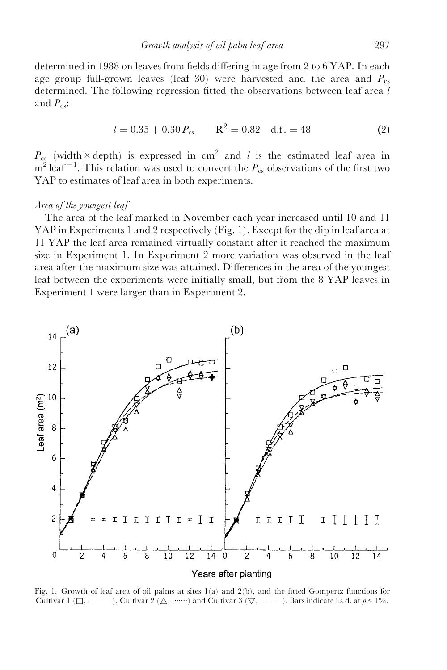determined in 1988 on leaves from fields differing in age from 2 to  $6$  YAP. In each age group full-grown leaves (leaf 30) were harvested and the area and  $P_{cs}$ determined. The following regression fitted the observations between leaf area  $l$ and  $P_{\text{cs}}$ :

$$
l = 0.35 + 0.30 P_{cs}
$$
  $R^2 = 0.82$  d.f. = 48 (2)

 $P_{c<sub>s</sub>}$  (width × depth) is expressed in cm<sup>2</sup> and l is the estimated leaf area in  $m^2$  leaf<sup>-1</sup>. This relation was used to convert the  $P_{cs}$  observations of the first two YAP to estimates of leaf area in both experiments.

## Area of the youngest leaf

The area of the leaf marked in November each year increased until 10 and 11 YAP in Experiments 1 and 2 respectively (Fig. 1). Except for the dip in leaf area at 11 YAP the leaf area remained virtually constant after it reached the maximum size in Experiment 1. In Experiment 2 more variation was observed in the leaf area after the maximum size was attained. Differences in the area of the youngest leaf between the experiments were initially small, but from the 8 YAP leaves in Experiment 1 were larger than in Experiment 2.



Fig. 1. Growth of leaf area of oil palms at sites  $1(a)$  and  $2(b)$ , and the fitted Gompertz functions for Cultivar 1 ( $\Box$ ,  $\Box$ ), Cultivar 2 ( $\triangle$ ,  $\Box$ ) and Cultivar 3 ( $\nabla$ ,  $\Box$   $\Box$ ). Bars indicate l.s.d. at  $p \leq 1\%$ .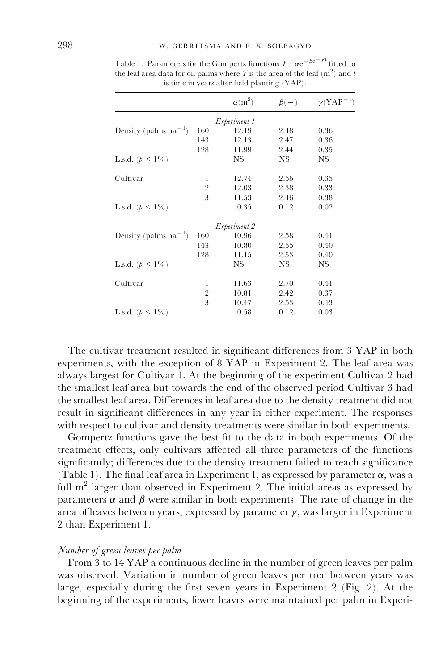|                                   |                | $\alpha(m^2)$ | $\beta(-)$ | $\gamma(YAP^{-1})$ |  |  |  |
|-----------------------------------|----------------|---------------|------------|--------------------|--|--|--|
| Experiment 1                      |                |               |            |                    |  |  |  |
| Density (palms ha <sup>-1</sup> ) | 160            | 12.19         | 2.48       | 0.36               |  |  |  |
|                                   | 143            | 12.13         | 2.47       | 0.36               |  |  |  |
|                                   | 128            | 11.99         | 2.44       | 0.35               |  |  |  |
| L.s.d. $(p < 1\%)$                |                | <b>NS</b>     | NS.        | <b>NS</b>          |  |  |  |
| Cultivar                          | 1              | 12.74         | 2.56       | 0.35               |  |  |  |
|                                   | $\overline{2}$ | 12.03         | 2.38       | 0.33               |  |  |  |
|                                   | 3              | 11.53         | 2.46       | 0.38               |  |  |  |
| L.s.d. $(p < 1\%)$                |                | 0.35          | 0.12       | 0.02               |  |  |  |
| <i>Experiment 2</i>               |                |               |            |                    |  |  |  |
| Density (palms $ha^{-1}$ )        | 160            | 10.96         | 2.58       | 0.41               |  |  |  |
|                                   | 143            | 10.80         | 2.55       | 0.40               |  |  |  |
|                                   | 128            | 11.15         | 2.53       | 0.40               |  |  |  |
| L.s.d. $(p < 1\%)$                |                | <b>NS</b>     | NS         | NS                 |  |  |  |
| Cultivar                          | 1              | 11.63         | 2.70       | 0.41               |  |  |  |
|                                   | $\overline{2}$ | 10.81         | 2.42       | 0.37               |  |  |  |
|                                   | 3              | 10.47         | 2.53       | 0.43               |  |  |  |
| L.s.d. $(p < 1\%)$                |                | 0.58          | 0.12       | 0.03               |  |  |  |

Table 1. Parameters for the Gompertz functions  $\varUpsilon = \alpha e^{-\beta e^{-\gamma t}}$  fitted to the leaf area data for oil palms where  $\hat{I}$  is the area of the leaf (m<sup>2</sup>) and  $t$ is time in years after field planting (YAP).

The cultivar treatment resulted in significant differences from 3 YAP in both experiments, with the exception of 8 YAP in Experiment 2. The leaf area was always largest for Cultivar 1. At the beginning of the experiment Cultivar 2 had the smallest leaf area but towards the end of the observed period Cultivar 3 had the smallest leaf area. Differences in leaf area due to the density treatment did not result in significant differences in any year in either experiment. The responses with respect to cultivar and density treatments were similar in both experiments.

Gompertz functions gave the best fit to the data in both experiments. Of the treatment effects, only cultivars affected all three parameters of the functions significantly; differences due to the density treatment failed to reach significance (Table 1). The final leaf area in Experiment 1, as expressed by parameter  $\alpha$ , was a full  $m<sup>2</sup>$  larger than observed in Experiment 2. The initial areas as expressed by parameters  $\alpha$  and  $\beta$  were similar in both experiments. The rate of change in the area of leaves between years, expressed by parameter  $\gamma$ , was larger in Experiment 2 than Experiment 1.

# Number of green leaves per palm

From 3 to 14 YAP a continuous decline in the number of green leaves per palm was observed. Variation in number of green leaves per tree between years was large, especially during the first seven years in Experiment 2 (Fig. 2). At the beginning of the experiments, fewer leaves were maintained per palm in Experi-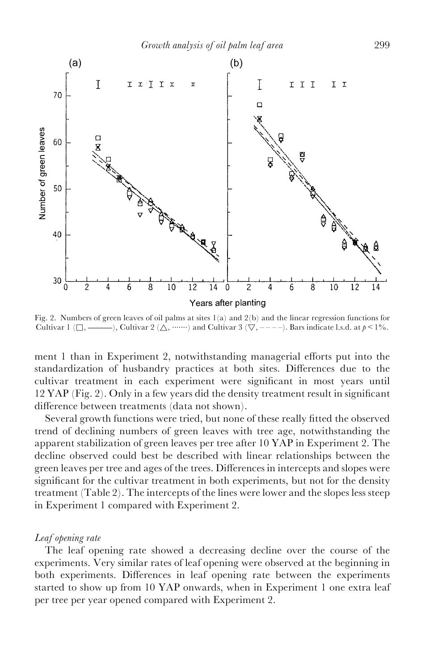

Fig. 2. Numbers of green leaves of oil palms at sites 1(a) and 2(b) and the linear regression functions for Cultivar 1 ( $\Box$ ,  $\Box$ ), Cultivar 2 ( $\triangle$ ,  $\Box$ ) and Cultivar 3 ( $\nabla$ ,  $\Box$  -  $\Box$ ). Bars indicate l.s.d. at  $p \leq 1\%$ .

ment 1 than in Experiment 2, notwithstanding managerial efforts put into the standardization of husbandry practices at both sites. Differences due to the cultivar treatment in each experiment were significant in most years until  $12$  YAP (Fig. 2). Only in a few years did the density treatment result in significant difference between treatments (data not shown).

Several growth functions were tried, but none of these really fitted the observed trend of declining numbers of green leaves with tree age, notwithstanding the apparent stabilization of green leaves per tree after 10 YAP in Experiment 2. The decline observed could best be described with linear relationships between the green leaves per tree and ages of the trees. Differences in intercepts and slopes were significant for the cultivar treatment in both experiments, but not for the density treatment (Table 2). The intercepts of the lines were lower and the slopes less steep in Experiment 1 compared with Experiment 2.

## Leaf opening rate

The leaf opening rate showed a decreasing decline over the course of the experiments. Very similar rates of leaf opening were observed at the beginning in both experiments. Differences in leaf opening rate between the experiments started to show up from 10 YAP onwards, when in Experiment 1 one extra leaf per tree per year opened compared with Experiment 2.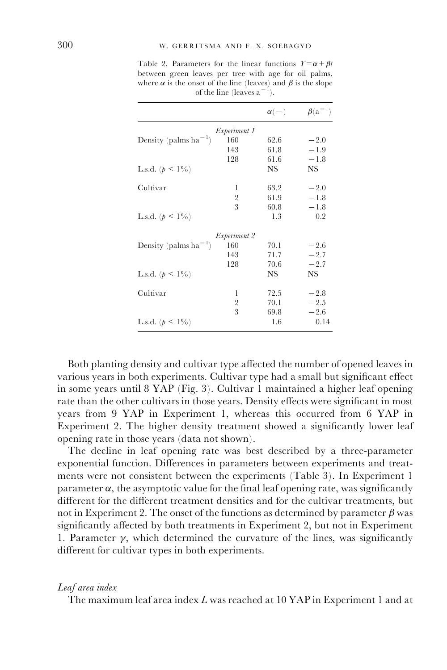Table 2. Parameters for the linear functions  $\mathcal{Y} = \alpha + \beta t$ between green leaves per tree with age for oil palms, where  $\alpha$  is the onset of the line (leaves) and  $\beta$  is the slope of the line (leaves  $a^{-1}$ ).

|                                   |                     | $\alpha(-)$ | $\beta$ (a <sup>-1</sup> ) |
|-----------------------------------|---------------------|-------------|----------------------------|
|                                   | <i>Experiment 1</i> |             |                            |
| Density (palms $ha^{-1}$ )        | 160                 | 62.6        | $-2.0$                     |
|                                   | 143                 | 61.8        | $-1.9$                     |
|                                   | 128                 | 61.6        | $-1.8$                     |
| L.s.d. $(p < 1\%)$                |                     | NS          | NS                         |
| Cultivar                          | 1                   | 63.2        | $-2.0$                     |
|                                   | 2                   | 61.9        | $-1.8$                     |
|                                   | 3                   | 60.8        | $-1.8$                     |
| L.s.d. $(p < 1\%)$                |                     | 1.3         | 0.2                        |
|                                   | <i>Experiment 2</i> |             |                            |
| Density (palms ha <sup>-1</sup> ) | 160                 | 70.1        | $-2.6$                     |
|                                   | 143                 | 71.7        | $-2.7$                     |
|                                   | 128                 | 70.6        | $-2.7$                     |
| L.s.d. $(p < 1\%)$                |                     | NS          | NS                         |
| Cultivar                          | 1                   | 72.5        | $-2.8$                     |
|                                   | 2                   | 70.1        | $-2.5$                     |
|                                   | 3                   | 69.8        | $-2.6$                     |
| L.s.d. $(p < 1\%)$                |                     | 1.6         | 0.14                       |

Both planting density and cultivar type affected the number of opened leaves in various years in both experiments. Cultivar type had a small but significant effect in some years until 8 YAP (Fig. 3). Cultivar 1 maintained a higher leaf opening rate than the other cultivars in those years. Density effects were significant in most years from 9 YAP in Experiment 1, whereas this occurred from 6 YAP in Experiment 2. The higher density treatment showed a significantly lower leaf opening rate in those years (data not shown).

The decline in leaf opening rate was best described by a three-parameter exponential function. Differences in parameters between experiments and treatments were not consistent between the experiments (Table 3). In Experiment 1 parameter  $\alpha$ , the asymptotic value for the final leaf opening rate, was significantly different for the different treatment densities and for the cultivar treatments, but not in Experiment 2. The onset of the functions as determined by parameter  $\beta$  was significantly affected by both treatments in Experiment 2, but not in Experiment 1. Parameter  $\gamma$ , which determined the curvature of the lines, was significantly different for cultivar types in both experiments.

#### Leaf area index

The maximum leaf area index L was reached at 10 YAP in Experiment 1 and at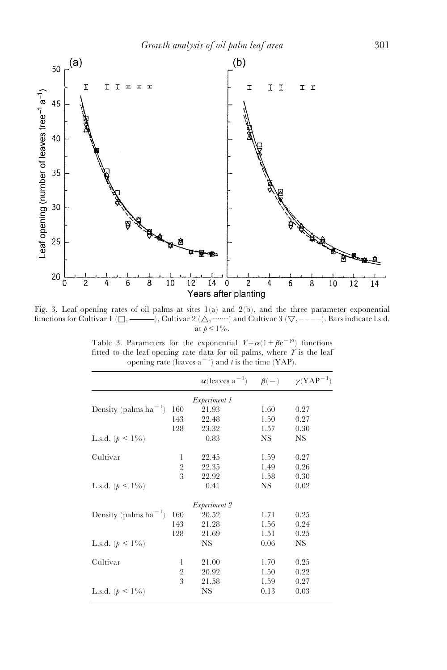

Fig. 3. Leaf opening rates of oil palms at sites  $1(a)$  and  $2(b)$ , and the three parameter exponential functions for Cultivar 1  $(\Box, \longrightarrow)$ , Cultivar 2  $(\triangle, \cdots \cdots)$  and Cultivar 3  $(\nabla, ---)$ . Bars indicate l.s.d. at  $p < 1\%$ .

Table 3. Parameters for the exponential  $\mathcal{Y} = \alpha(1 + \beta e^{-\gamma t})$  functions fitted to the leaf opening rate data for oil palms, where  $\Upsilon$  is the leaf opening rate (leaves a<sup>-1</sup>) and t is the time (YAP).

|                                   |                | $\alpha$ (leaves a <sup>-1</sup> ) $\beta$ (-) $\gamma$ (YAP <sup>-1</sup> ) |      |           |
|-----------------------------------|----------------|------------------------------------------------------------------------------|------|-----------|
|                                   |                | <i>Experiment 1</i>                                                          |      |           |
| Density (palms ha <sup>-1</sup> ) | 160            | 21.93                                                                        | 1.60 | 0.27      |
|                                   | 143            | 22.48                                                                        | 1.50 | 0.27      |
|                                   | 128            | 23.32                                                                        | 1.57 | 0.30      |
| L.s.d. $(p < 1\%)$                |                | 0.83                                                                         | NS.  | <b>NS</b> |
| Cultivar                          | 1              | 22.45                                                                        | 1.59 | 0.27      |
|                                   | $\overline{2}$ | 22.35                                                                        | 1.49 | 0.26      |
|                                   | 3              | 22.92                                                                        | 1.58 | 0.30      |
| L.s.d. $(p < 1\%)$                |                | 0.41                                                                         | NS.  | 0.02      |
|                                   |                | Experiment 2                                                                 |      |           |
| Density (palms ha <sup>-1</sup> ) | 160            | 20.52                                                                        | 1.71 | 0.25      |
|                                   | 143            | 21.28                                                                        | 1.56 | 0.24      |
|                                   | 128            | 21.69                                                                        | 1.51 | 0.25      |
| L.s.d. $(p < 1\%)$                |                | <b>NS</b>                                                                    | 0.06 | NS        |
| Cultivar                          | 1              | 21.00                                                                        | 1.70 | 0.25      |
|                                   | $\overline{2}$ | 20.92                                                                        | 1.50 | 0.22      |
|                                   | 3              | 21.58                                                                        | 1.59 | 0.27      |
| L.s.d. $(p < 1\%)$                |                | NS                                                                           | 0.13 | 0.03      |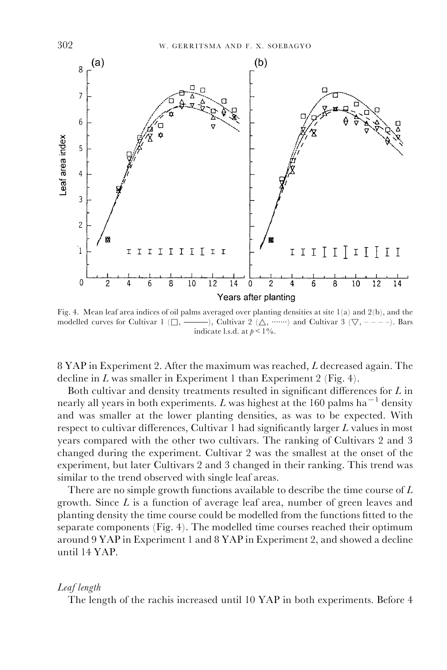

Fig. 4. Mean leaf area indices of oil palms averaged over planting densities at site 1(a) and 2(b), and the modelled curves for Cultivar 1 ( $\Box$ ,  $\Box$ ), Cultivar 2 ( $\Delta$ ,  $\Box$ ) and Cultivar 3 ( $\nabla$ ,  $\Box$  -  $\Box$ ). Bars indicate l.s.d. at  $p < 1\%$ .

8 YAP in Experiment 2. After the maximum was reached, L decreased again. The decline in  $L$  was smaller in Experiment 1 than Experiment 2 (Fig. 4).

Both cultivar and density treatments resulted in significant differences for  $L$  in nearly all years in both experiments. L was highest at the 160 palms ha<sup> $-1$ </sup> density and was smaller at the lower planting densities, as was to be expected. With respect to cultivar differences, Cultivar 1 had significantly larger  $L$  values in most years compared with the other two cultivars. The ranking of Cultivars 2 and 3 changed during the experiment. Cultivar 2 was the smallest at the onset of the experiment, but later Cultivars 2 and 3 changed in their ranking. This trend was similar to the trend observed with single leaf areas.

There are no simple growth functions available to describe the time course of L growth. Since L is a function of average leaf area, number of green leaves and planting density the time course could be modelled from the functions fitted to the separate components (Fig. 4). The modelled time courses reached their optimum around 9 YAP in Experiment 1 and 8 YAP in Experiment 2, and showed a decline until 14 YAP.

#### Leaf length

The length of the rachis increased until 10 YAP in both experiments. Before 4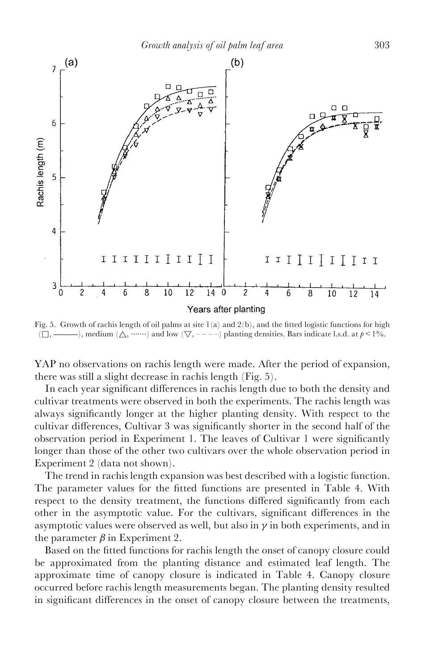

Fig. 5. Growth of rachis length of oil palms at site  $1(a)$  and  $2(b)$ , and the fitted logistic functions for high  $(\Box, \longrightarrow)$ , medium  $(\triangle, \cdots \cdots)$  and low  $(\nabla, \cdots \cdots)$  planting densities. Bars indicate l.s.d. at  $p \leq 1\%$ .

YAP no observations on rachis length were made. After the period of expansion, there was still a slight decrease in rachis length (Fig. 5).

In each year significant differences in rachis length due to both the density and cultivar treatments were observed in both the experiments. The rachis length was always significantly longer at the higher planting density. With respect to the cultivar differences, Cultivar 3 was significantly shorter in the second half of the observation period in Experiment 1. The leaves of Cultivar 1 were significantly longer than those of the other two cultivars over the whole observation period in Experiment 2 (data not shown).

The trend in rachis length expansion was best described with a logistic function. The parameter values for the fitted functions are presented in Table 4. With respect to the density treatment, the functions differed significantly from each other in the asymptotic value. For the cultivars, significant differences in the asymptotic values were observed as well, but also in  $\gamma$  in both experiments, and in the parameter  $\beta$  in Experiment 2.

Based on the fitted functions for rachis length the onset of canopy closure could be approximated from the planting distance and estimated leaf length. The approximate time of canopy closure is indicated in Table 4. Canopy closure occurred before rachis length measurements began. The planting density resulted in significant differences in the onset of canopy closure between the treatments,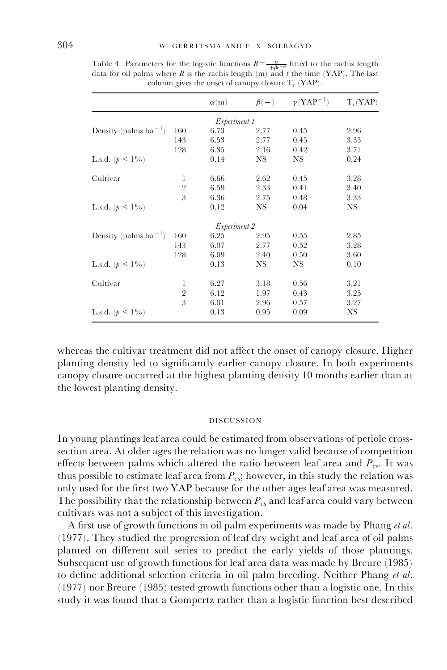|                                                |                | $\alpha(m)$ |      | $\beta(-)$ $\gamma(YAP^{-1})$ | $T_c(YAP)$ |  |  |
|------------------------------------------------|----------------|-------------|------|-------------------------------|------------|--|--|
| <i>Experiment 1</i>                            |                |             |      |                               |            |  |  |
| Density (palms ha <sup>-1</sup> )              | 160            | 6.73        | 2.77 | 0.45                          | 2.96       |  |  |
|                                                | 143            | 6.53        | 2.77 | 0.45                          | 3.33       |  |  |
|                                                | 128            | 6.35        | 2.16 | 0.42                          | 3.71       |  |  |
| L.s.d. $(p < 1\%)$                             |                | 0.14        | NS.  | NS.                           | 0.24       |  |  |
| Cultivar                                       | 1              | 6.66        | 2.62 | 0.45                          | 3.28       |  |  |
|                                                | $\overline{2}$ | 6.59        | 2.33 | 0.41                          | 3.40       |  |  |
|                                                | 3              | 6.36        | 2.75 | 0.48                          | 3.33       |  |  |
| L.s.d. $(p < 1\%)$                             |                | 0.12        | NS.  | 0.04                          | <b>NS</b>  |  |  |
| Experiment 2                                   |                |             |      |                               |            |  |  |
| Density (palms ha <sup><math>-1</math></sup> ) | 160            | 6.25        | 2.95 | 0.55                          | 2.85       |  |  |
|                                                | 143            | 6.07        | 2.77 | 0.52                          | 3.28       |  |  |
|                                                | 128            | 6.09        | 2.40 | 0.50                          | 3.60       |  |  |
| L.s.d. $(p < 1\%)$                             |                | 0.13        | NS.  | NS.                           | 0.10       |  |  |
| Cultivar                                       | 1              | 6.27        | 3.18 | 0.56                          | 3.21       |  |  |
|                                                | $\overline{2}$ | 6.12        | 1.97 | 0.43                          | 3.25       |  |  |
|                                                | 3              | 6.01        | 2.96 | 0.57                          | 3.27       |  |  |
| L.s.d. $(p < 1\%)$                             |                | 0.13        | 0.95 | 0.09                          | NS         |  |  |

Table 4. Parameters for the logistic functions  $R = \frac{\alpha}{1 + \beta e^{-\gamma t}}$  fitted to the rachis length data for oil palms where  $R$  is the rachis length  $(m)$  and  $t$  the time (YAP). The last column gives the onset of canopy closure  $T_c$  (YAP).

whereas the cultivar treatment did not affect the onset of canopy closure. Higher planting density led to significantly earlier canopy closure. In both experiments canopy closure occurred at the highest planting density 10 months earlier than at the lowest planting density.

#### DISCUSSION

In young plantings leaf area could be estimated from observations of petiole crosssection area. At older ages the relation was no longer valid because of competition effects between palms which altered the ratio between leaf area and  $P_{\text{cs}}$ . It was thus possible to estimate leaf area from  $P_{cs}$ ; however, in this study the relation was only used for the first two YAP because for the other ages leaf area was measured. The possibility that the relationship between  $P_{cs}$  and leaf area could vary between cultivars was not a subject of this investigation.

A first use of growth functions in oil palm experiments was made by Phang et al. (1977). They studied the progression of leaf dry weight and leaf area of oil palms planted on different soil series to predict the early yields of those plantings. Subsequent use of growth functions for leaf area data was made by Breure (1985) to define additional selection criteria in oil palm breeding. Neither Phang et al. (1977) nor Breure (1985) tested growth functions other than a logistic one. In this study it was found that a Gompertz rather than a logistic function best described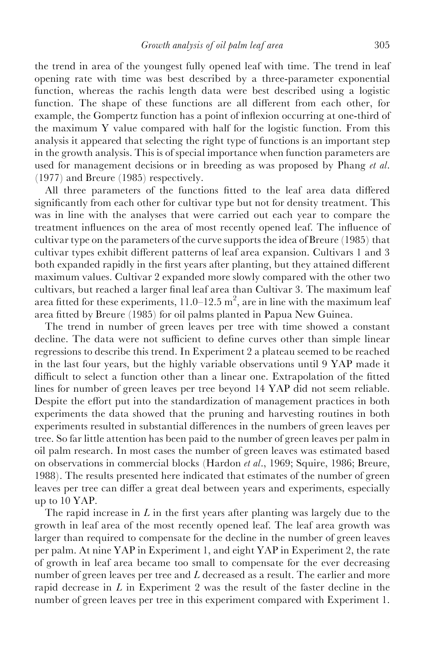the trend in area of the youngest fully opened leaf with time. The trend in leaf opening rate with time was best described by a three-parameter exponential function, whereas the rachis length data were best described using a logistic function. The shape of these functions are all different from each other, for example, the Gompertz function has a point of inflexion occurring at one-third of the maximum Y value compared with half for the logistic function. From this analysis it appeared that selecting the right type of functions is an important step in the growth analysis. This is of special importance when function parameters are used for management decisions or in breeding as was proposed by Phang *et al.* (1977) and Breure (1985) respectively.

All three parameters of the functions fitted to the leaf area data differed significantly from each other for cultivar type but not for density treatment. This was in line with the analyses that were carried out each year to compare the treatment influences on the area of most recently opened leaf. The influence of cultivar type on the parameters of the curve supports the idea of Breure (1985) that cultivar types exhibit different patterns of leaf area expansion. Cultivars 1 and 3 both expanded rapidly in the first years after planting, but they attained different maximum values. Cultivar 2 expanded more slowly compared with the other two cultivars, but reached a larger final leaf area than Cultivar 3. The maximum leaf area fitted for these experiments,  $11.0-12.5$  m<sup>2</sup>, are in line with the maximum leaf area fitted by Breure (1985) for oil palms planted in Papua New Guinea.

The trend in number of green leaves per tree with time showed a constant decline. The data were not sufficient to define curves other than simple linear regressions to describe this trend. In Experiment 2 a plateau seemed to be reached in the last four years, but the highly variable observations until 9 YAP made it difficult to select a function other than a linear one. Extrapolation of the fitted lines for number of green leaves per tree beyond 14 YAP did not seem reliable. Despite the effort put into the standardization of management practices in both experiments the data showed that the pruning and harvesting routines in both experiments resulted in substantial differences in the numbers of green leaves per tree. So far little attention has been paid to the number of green leaves per palm in oil palm research. In most cases the number of green leaves was estimated based on observations in commercial blocks (Hardon et al., 1969; Squire, 1986; Breure, 1988). The results presented here indicated that estimates of the number of green leaves per tree can differ a great deal between years and experiments, especially up to 10 YAP.

The rapid increase in  $L$  in the first years after planting was largely due to the growth in leaf area of the most recently opened leaf. The leaf area growth was larger than required to compensate for the decline in the number of green leaves per palm. At nine YAP in Experiment 1, and eight YAP in Experiment 2, the rate of growth in leaf area became too small to compensate for the ever decreasing number of green leaves per tree and  $L$  decreased as a result. The earlier and more rapid decrease in  $L$  in Experiment 2 was the result of the faster decline in the number of green leaves per tree in this experiment compared with Experiment 1.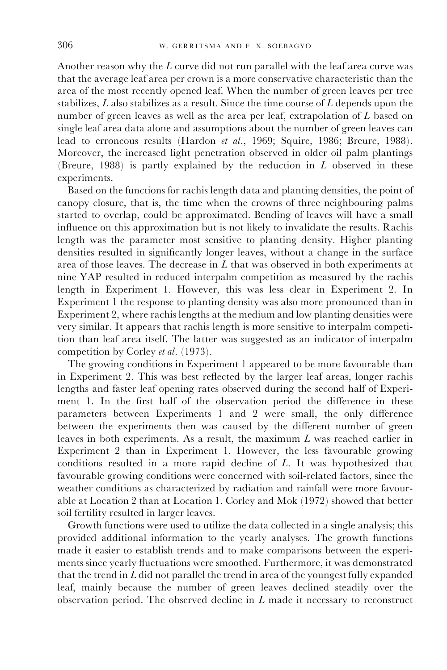Another reason why the  $L$  curve did not run parallel with the leaf area curve was that the average leaf area per crown is a more conservative characteristic than the area of the most recently opened leaf. When the number of green leaves per tree stabilizes,  $L$  also stabilizes as a result. Since the time course of  $L$  depends upon the number of green leaves as well as the area per leaf, extrapolation of L based on single leaf area data alone and assumptions about the number of green leaves can lead to erroneous results (Hardon et al., 1969; Squire, 1986; Breure, 1988). Moreover, the increased light penetration observed in older oil palm plantings (Breure, 1988) is partly explained by the reduction in  $L$  observed in these experiments.

Based on the functions for rachis length data and planting densities, the point of canopy closure, that is, the time when the crowns of three neighbouring palms started to overlap, could be approximated. Bending of leaves will have a small influence on this approximation but is not likely to invalidate the results. Rachis length was the parameter most sensitive to planting density. Higher planting densities resulted in significantly longer leaves, without a change in the surface area of those leaves. The decrease in  $L$  that was observed in both experiments at nine YAP resulted in reduced interpalm competition as measured by the rachis length in Experiment 1. However, this was less clear in Experiment 2. In Experiment 1 the response to planting density was also more pronounced than in Experiment 2, where rachis lengths at the medium and low planting densities were very similar. It appears that rachis length is more sensitive to interpalm competition than leaf area itself. The latter was suggested as an indicator of interpalm competition by Corley et al. (1973).

The growing conditions in Experiment 1 appeared to be more favourable than in Experiment 2. This was best reflected by the larger leaf areas, longer rachis lengths and faster leaf opening rates observed during the second half of Experiment 1. In the first half of the observation period the difference in these parameters between Experiments 1 and 2 were small, the only difference between the experiments then was caused by the different number of green leaves in both experiments. As a result, the maximum L was reached earlier in Experiment 2 than in Experiment 1. However, the less favourable growing conditions resulted in a more rapid decline of L. It was hypothesized that favourable growing conditions were concerned with soil-related factors, since the weather conditions as characterized by radiation and rainfall were more favourable at Location 2 than at Location 1. Corley and Mok (1972) showed that better soil fertility resulted in larger leaves.

Growth functions were used to utilize the data collected in a single analysis; this provided additional information to the yearly analyses. The growth functions made it easier to establish trends and to make comparisons between the experiments since yearly fluctuations were smoothed. Furthermore, it was demonstrated that the trend in  $L$  did not parallel the trend in area of the youngest fully expanded leaf, mainly because the number of green leaves declined steadily over the observation period. The observed decline in L made it necessary to reconstruct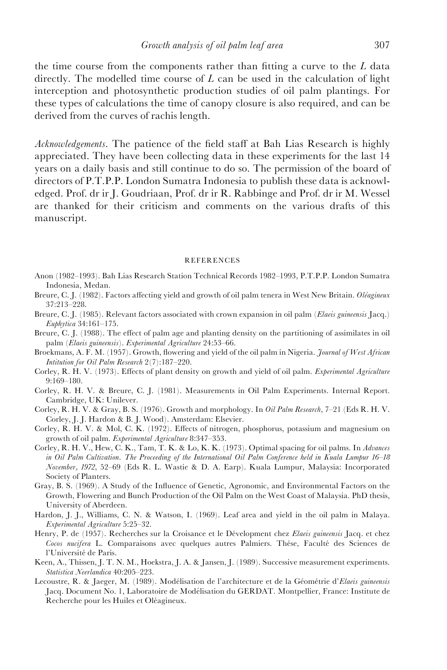the time course from the components rather than fitting a curve to the  $L$  data directly. The modelled time course of  $L$  can be used in the calculation of light interception and photosynthetic production studies of oil palm plantings. For these types of calculations the time of canopy closure is also required, and can be derived from the curves of rachis length.

Acknowledgements. The patience of the field staff at Bah Lias Research is highly appreciated. They have been collecting data in these experiments for the last 14 years on a daily basis and still continue to do so. The permission of the board of directors of P.T.P.P. London Sumatra Indonesia to publish these data is acknowledged. Prof. dr ir J. Goudriaan, Prof. dr ir R. Rabbinge and Prof. dr ir M. Wessel are thanked for their criticism and comments on the various drafts of this manuscript.

#### REFERENCES

- Anon (1982-1993). Bah Lias Research Station Technical Records 1982-1993, P.T.P.P. London Sumatra Indonesia, Medan.
- Breure, C. J. (1982). Factors affecting yield and growth of oil palm tenera in West New Britain. Oléagineux 37:213±228.
- Breure, C. J. (1985). Relevant factors associated with crown expansion in oil palm (Elaeis guineensis Jacq.) Euphytica  $34:161-175$ .
- Breure, C. J. (1988). The effect of palm age and planting density on the partitioning of assimilates in oil palm (Elaeis guineensis). Experimental Agriculture 24:53-66.
- Broekmans, A. F. M. (1957). Growth, flowering and yield of the oil palm in Nigeria. Journal of West African Intitution for Oil Palm Research  $2(7)$ :187-220.
- Corley, R. H. V. (1973). Effects of plant density on growth and yield of oil palm. Experimental Agriculture 9:169±180.
- Corley, R. H. V. & Breure, C. J. (1981). Measurements in Oil Palm Experiments. Internal Report. Cambridge, UK: Unilever.
- Corley, R. H. V. & Gray, B. S. (1976). Growth and morphology. In Oil Palm Research, 7-21 (Eds R. H. V. Corley, J. J. Hardon & B. J. Wood). Amsterdam: Elsevier.
- Corley, R. H. V. & Mol, C. K. (1972). Effects of nitrogen, phosphorus, potassium and magnesium on growth of oil palm. Experimental Agriculture 8:347-353.
- Corley, R. H. V., Hew, C. K., Tam, T. K. & Lo, K. K. (1973). Optimal spacing for oil palms. In Advances in Oil Palm Cultivation. The Proceeding of the International Oil Palm Conference held in Kuala Lumpur 16-18 November, 1972, 52-69 (Eds R. L. Wastie & D. A. Earp). Kuala Lumpur, Malaysia: Incorporated Society of Planters.
- Gray, B. S. (1969). A Study of the Influence of Genetic, Agronomic, and Environmental Factors on the Growth, Flowering and Bunch Production of the Oil Palm on the West Coast of Malaysia. PhD thesis, University of Aberdeen.
- Hardon, J. J., Williams, C. N. & Watson, I. (1969). Leaf area and yield in the oil palm in Malaya.  $Experimental$  Agriculture 5:25-32.
- Henry, P. de (1957). Recherches sur la Croisance et le Dévelopment chez Elaeis guineensis Jacq. et chez Cocos nucifera L. Comparaisons avec quelques autres Palmiers. Thése, Faculté des Sciences de l'Université de Paris.
- Keen, A., Thissen, J. T. N. M., Hoekstra, J. A. & Jansen, J. (1989). Successive measurement experiments. Statistica Neerlandica 40:205-223.
- Lecoustre, R. & Jaeger, M. (1989). Modélisation de l'architecture et de la Géométrie d'Elaeis guineensis Jacq. Document No. 1, Laboratoire de Modélisation du GERDAT. Montpellier, France: Institute de Recherche pour les Huiles et Oléagineux.